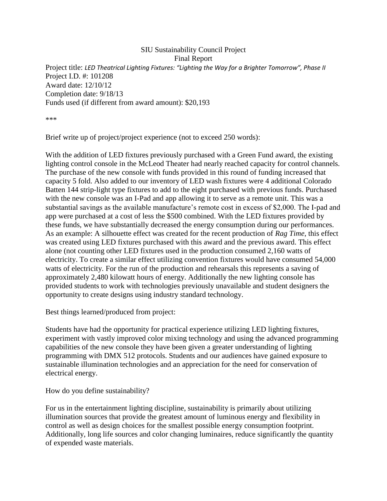## SIU Sustainability Council Project Final Report Project title: *LED Theatrical Lighting Fixtures: "Lighting the Way for a Brighter Tomorrow", Phase II* Project I.D. #: 101208 Award date: 12/10/12 Completion date: 9/18/13 Funds used (if different from award amount): \$20,193

\*\*\*

Brief write up of project/project experience (not to exceed 250 words):

With the addition of LED fixtures previously purchased with a Green Fund award, the existing lighting control console in the McLeod Theater had nearly reached capacity for control channels. The purchase of the new console with funds provided in this round of funding increased that capacity 5 fold. Also added to our inventory of LED wash fixtures were 4 additional Colorado Batten 144 strip-light type fixtures to add to the eight purchased with previous funds. Purchased with the new console was an I-Pad and app allowing it to serve as a remote unit. This was a substantial savings as the available manufacture's remote cost in excess of \$2,000. The I-pad and app were purchased at a cost of less the \$500 combined. With the LED fixtures provided by these funds, we have substantially decreased the energy consumption during our performances. As an example: A silhouette effect was created for the recent production of *Rag Time*, this effect was created using LED fixtures purchased with this award and the previous award. This effect alone (not counting other LED fixtures used in the production consumed 2,160 watts of electricity. To create a similar effect utilizing convention fixtures would have consumed 54,000 watts of electricity. For the run of the production and rehearsals this represents a saving of approximately 2,480 kilowatt hours of energy. Additionally the new lighting console has provided students to work with technologies previously unavailable and student designers the opportunity to create designs using industry standard technology.

Best things learned/produced from project:

Students have had the opportunity for practical experience utilizing LED lighting fixtures, experiment with vastly improved color mixing technology and using the advanced programming capabilities of the new console they have been given a greater understanding of lighting programming with DMX 512 protocols. Students and our audiences have gained exposure to sustainable illumination technologies and an appreciation for the need for conservation of electrical energy.

How do you define sustainability?

For us in the entertainment lighting discipline, sustainability is primarily about utilizing illumination sources that provide the greatest amount of luminous energy and flexibility in control as well as design choices for the smallest possible energy consumption footprint. Additionally, long life sources and color changing luminaires, reduce significantly the quantity of expended waste materials.